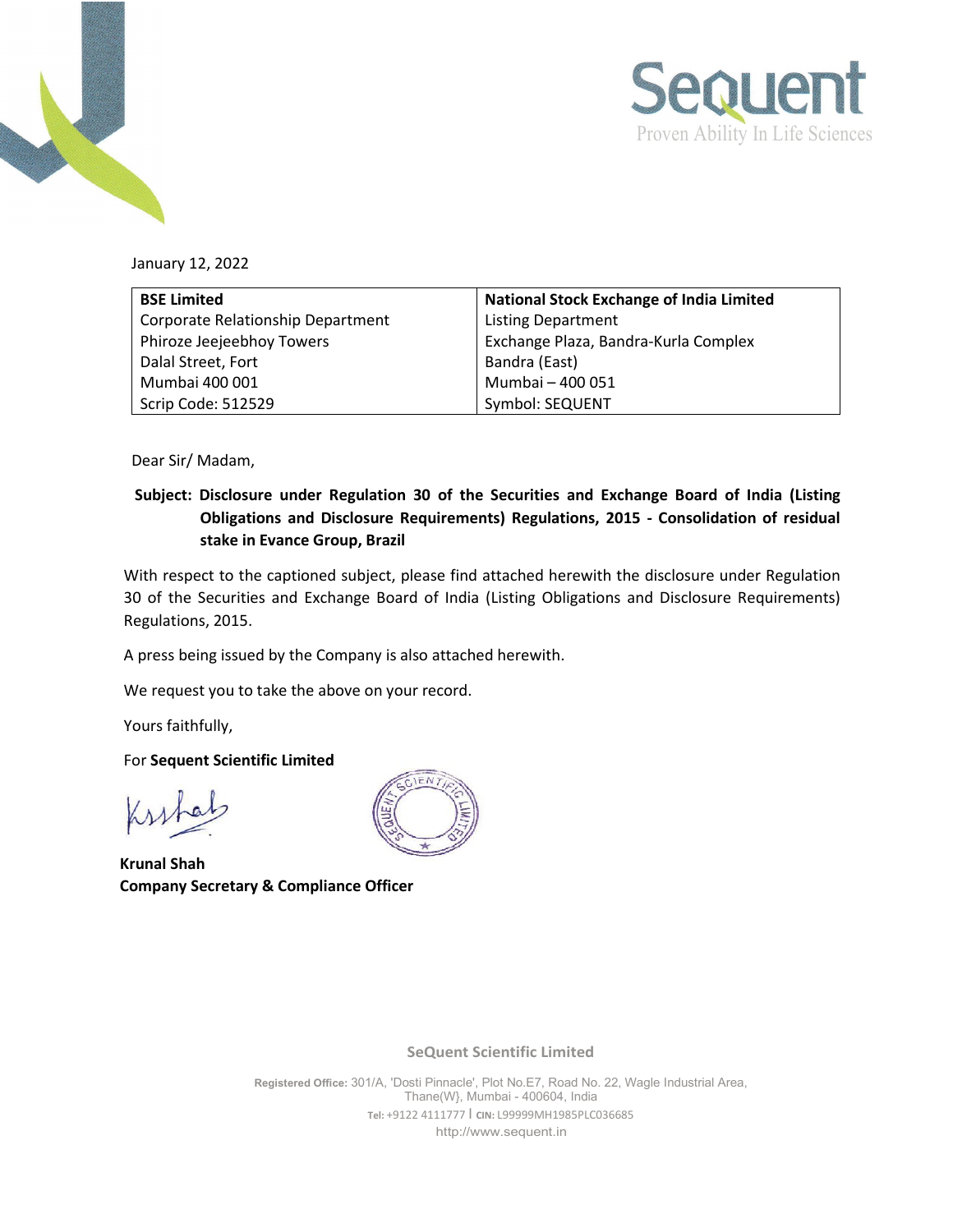

January 12, 2022

| <b>BSE Limited</b>                | <b>National Stock Exchange of India Limited</b> |
|-----------------------------------|-------------------------------------------------|
| Corporate Relationship Department | <b>Listing Department</b>                       |
| Phiroze Jeejeebhoy Towers         | Exchange Plaza, Bandra-Kurla Complex            |
| Dalal Street, Fort                | Bandra (East)                                   |
| Mumbai 400 001                    | Mumbai - 400 051                                |
| Scrip Code: 512529                | Symbol: SEQUENT                                 |

Dear Sir/ Madam,

### **Subject: Disclosure under Regulation 30 of the Securities and Exchange Board of India (Listing Obligations and Disclosure Requirements) Regulations, 2015 - Consolidation of residual stake in Evance Group, Brazil**

With respect to the captioned subject, please find attached herewith the disclosure under Regulation 30 of the Securities and Exchange Board of India (Listing Obligations and Disclosure Requirements) Regulations, 2015.

A press being issued by the Company is also attached herewith.

We request you to take the above on your record.

Yours faithfully,

For **Sequent Scientific Limited**

**Krunal Shah Company Secretary & Compliance Officer**



**SeQuent Scientific Limited**

**Registered Office:** 301/A, 'Dosti Pinnacle', Plot No.E7, Road No. 22, Wagle Industrial Area, Thane(W}, Mumbai - 400604, India **Tel:** +9122 4111777 I **CIN:** L99999MH1985PLC036685 http://www.sequent.in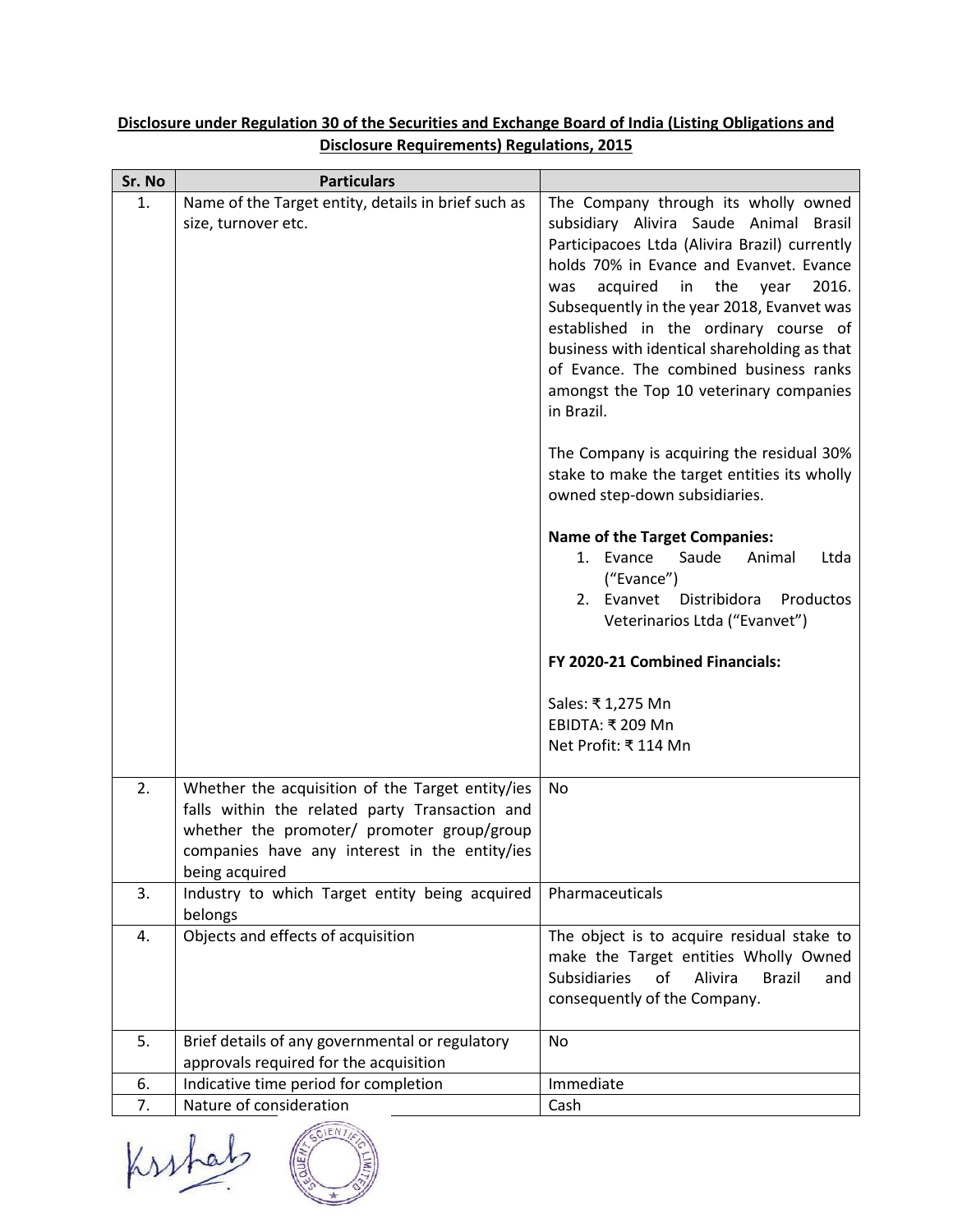| Sr. No | <b>Particulars</b>                                                                                                                                                                                                  |                                                                                                                                                                                                                                                                                                                                                                                                                                                                                                                                                                                                                                                                                                                                                                         |  |
|--------|---------------------------------------------------------------------------------------------------------------------------------------------------------------------------------------------------------------------|-------------------------------------------------------------------------------------------------------------------------------------------------------------------------------------------------------------------------------------------------------------------------------------------------------------------------------------------------------------------------------------------------------------------------------------------------------------------------------------------------------------------------------------------------------------------------------------------------------------------------------------------------------------------------------------------------------------------------------------------------------------------------|--|
| 1.     | Name of the Target entity, details in brief such as<br>size, turnover etc.                                                                                                                                          | The Company through its wholly owned<br>subsidiary Alivira Saude Animal Brasil<br>Participacoes Ltda (Alivira Brazil) currently<br>holds 70% in Evance and Evanvet. Evance<br>acquired<br>in the year<br>2016.<br>was<br>Subsequently in the year 2018, Evanvet was<br>established in the ordinary course of<br>business with identical shareholding as that<br>of Evance. The combined business ranks<br>amongst the Top 10 veterinary companies<br>in Brazil.<br>The Company is acquiring the residual 30%<br>stake to make the target entities its wholly<br>owned step-down subsidiaries.<br><b>Name of the Target Companies:</b><br>Animal<br>1. Evance<br>Saude<br>Ltda<br>("Evance")<br>Distribidora<br>2. Evanvet<br>Productos<br>Veterinarios Ltda ("Evanvet") |  |
|        |                                                                                                                                                                                                                     | FY 2020-21 Combined Financials:                                                                                                                                                                                                                                                                                                                                                                                                                                                                                                                                                                                                                                                                                                                                         |  |
|        |                                                                                                                                                                                                                     | Sales: ₹1,275 Mn<br>EBIDTA: ₹209 Mn<br>Net Profit: ₹ 114 Mn                                                                                                                                                                                                                                                                                                                                                                                                                                                                                                                                                                                                                                                                                                             |  |
| 2.     | Whether the acquisition of the Target entity/ies<br>falls within the related party Transaction and<br>whether the promoter/ promoter group/group<br>companies have any interest in the entity/ies<br>being acquired | No                                                                                                                                                                                                                                                                                                                                                                                                                                                                                                                                                                                                                                                                                                                                                                      |  |
| 3.     | Industry to which Target entity being acquired<br>belongs                                                                                                                                                           | Pharmaceuticals                                                                                                                                                                                                                                                                                                                                                                                                                                                                                                                                                                                                                                                                                                                                                         |  |
| 4.     | Objects and effects of acquisition                                                                                                                                                                                  | The object is to acquire residual stake to<br>make the Target entities Wholly Owned<br>of<br><b>Subsidiaries</b><br>Alivira<br><b>Brazil</b><br>and<br>consequently of the Company.                                                                                                                                                                                                                                                                                                                                                                                                                                                                                                                                                                                     |  |
| 5.     | Brief details of any governmental or regulatory<br>approvals required for the acquisition                                                                                                                           | No                                                                                                                                                                                                                                                                                                                                                                                                                                                                                                                                                                                                                                                                                                                                                                      |  |
| 6.     | Indicative time period for completion                                                                                                                                                                               | Immediate                                                                                                                                                                                                                                                                                                                                                                                                                                                                                                                                                                                                                                                                                                                                                               |  |
| 7.     | Nature of consideration                                                                                                                                                                                             | Cash                                                                                                                                                                                                                                                                                                                                                                                                                                                                                                                                                                                                                                                                                                                                                                    |  |

## **Disclosure under Regulation 30 of the Securities and Exchange Board of India (Listing Obligations and Disclosure Requirements) Regulations, 2015**

Krshab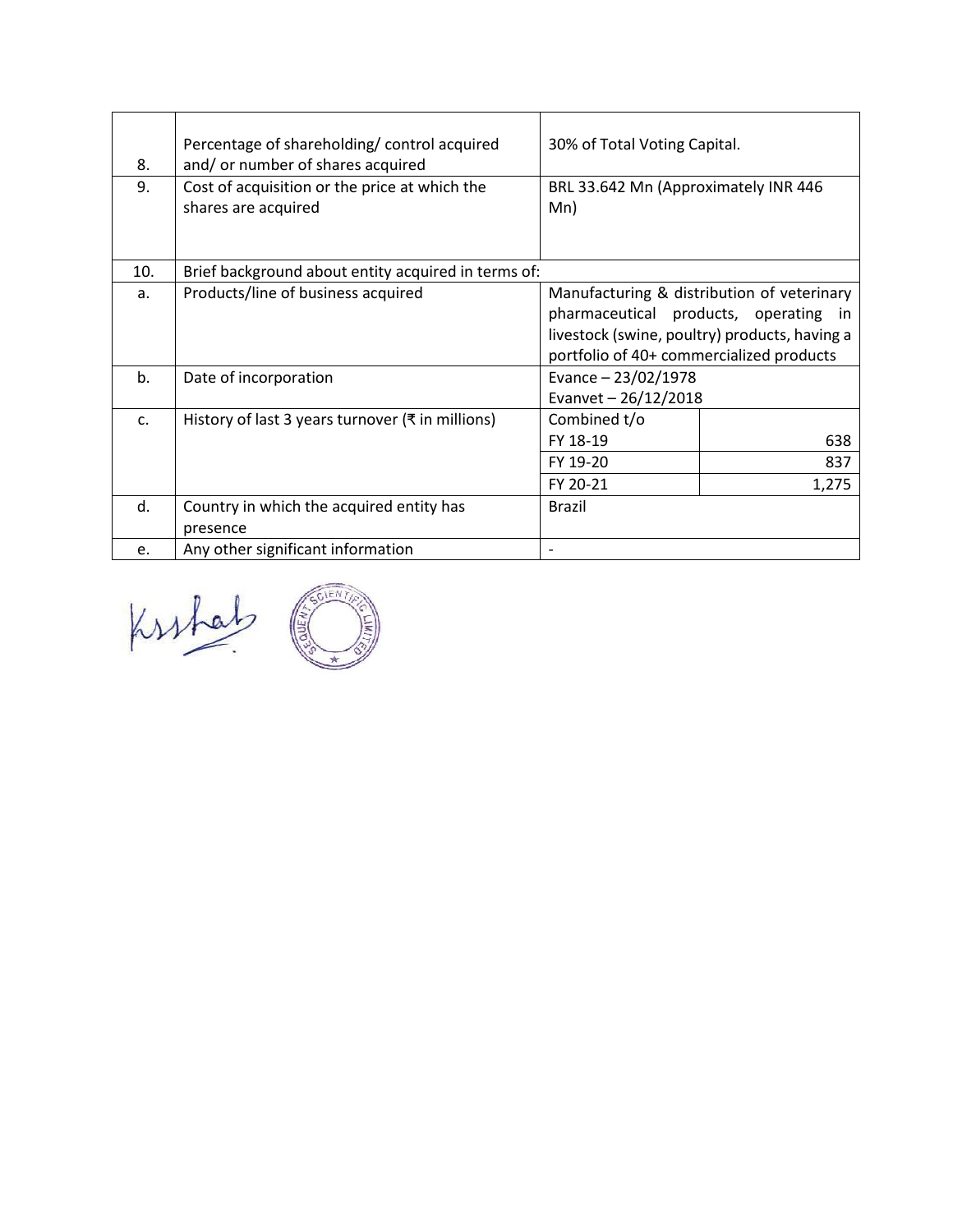| 8.          | Percentage of shareholding/control acquired<br>and/ or number of shares acquired | 30% of Total Voting Capital.                                                                                                                                                     |       |  |
|-------------|----------------------------------------------------------------------------------|----------------------------------------------------------------------------------------------------------------------------------------------------------------------------------|-------|--|
| 9.          | Cost of acquisition or the price at which the<br>shares are acquired             | BRL 33.642 Mn (Approximately INR 446<br>Mn)                                                                                                                                      |       |  |
| 10.         | Brief background about entity acquired in terms of:                              |                                                                                                                                                                                  |       |  |
| a.          | Products/line of business acquired                                               | Manufacturing & distribution of veterinary<br>pharmaceutical products, operating in<br>livestock (swine, poultry) products, having a<br>portfolio of 40+ commercialized products |       |  |
| b.          | Date of incorporation                                                            | Evance $-23/02/1978$<br>Evanvet $-26/12/2018$                                                                                                                                    |       |  |
| $C_{\cdot}$ | History of last 3 years turnover (₹ in millions)                                 | Combined t/o                                                                                                                                                                     |       |  |
|             |                                                                                  | FY 18-19                                                                                                                                                                         | 638   |  |
|             |                                                                                  | FY 19-20                                                                                                                                                                         | 837   |  |
|             |                                                                                  | FY 20-21                                                                                                                                                                         | 1,275 |  |
| d.          | Country in which the acquired entity has<br>presence                             | Brazil                                                                                                                                                                           |       |  |
| e.          | Any other significant information                                                | $\overline{\phantom{a}}$                                                                                                                                                         |       |  |

Kutab (